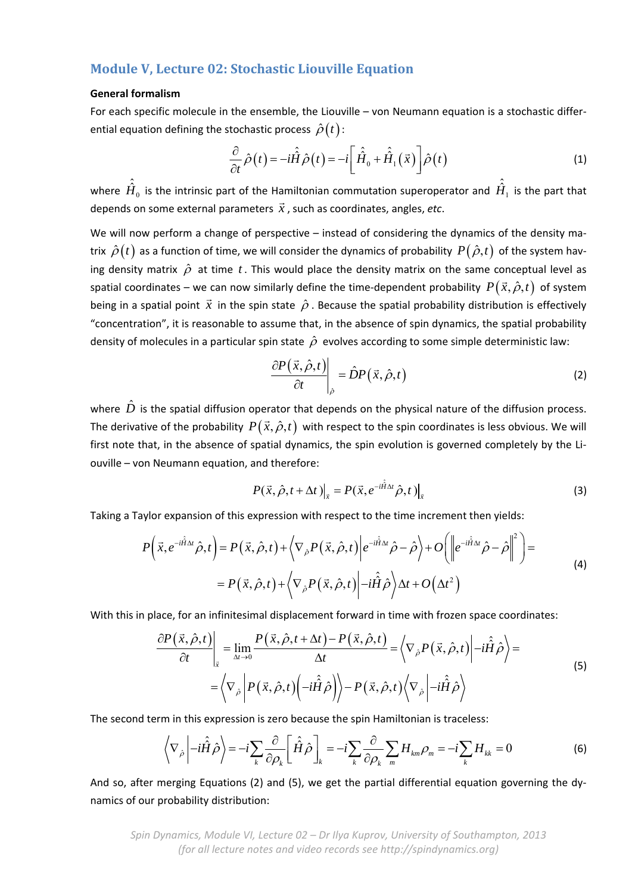## **Module V, Lecture 02: Stochastic Liouville Equation**

## **General formalism**

For each specific molecule in the ensemble, the Liouville – von Neumann equation is a stochastic differ‐ ential equation defining the stochastic process  $\hat{\rho}(t)$ :

$$
\frac{\partial}{\partial t}\hat{\rho}(t) = -i\hat{\hat{H}}\hat{\rho}(t) = -i\left[\hat{\hat{H}}_0 + \hat{\hat{H}}_1(\vec{x})\right]\hat{\rho}(t)
$$
\n(1)

where  $\hat{\hat{H}}_0$  is the intrinsic part of the Hamiltonian commutation superoperator and  $\hat{\hat{H}}_1$  is the part that  $\frac{1}{4}$  and  $\frac{1}{4}$  is the intimate part of the ride depends on some external parameters  $\vec{x}$ , such as coordinates, angles, *etc*.

We will now perform a change of perspective – instead of considering the dynamics of the density matrix  $\hat{\rho}(t)$  as a function of time, we will consider the dynamics of probability  $P(\hat{\rho},t)$  of the system having density matrix  $\hat{\rho}$  at time t. This would place the density matrix on the same conceptual level as spatial coordinates – we can now similarly define the time-dependent probability  $P(\vec{x}, \hat{\rho}, t)$  of system being in a spatial point  $\vec{x}$  in the spin state  $\hat{\rho}$ . Because the spatial probability distribution is effectively "concentration", it is reasonable to assume that, in the absence of spin dynamics, the spatial probability density of molecules in a particular spin state  $\hat{\rho}$  evolves according to some simple deterministic law:

$$
\left. \frac{\partial P(\vec{x}, \hat{\rho}, t)}{\partial t} \right|_{\hat{\rho}} = \hat{D} P(\vec{x}, \hat{\rho}, t) \tag{2}
$$

where  $\hat{D}$  is the spatial diffusion operator that depends on the physical nature of the diffusion process. The derivative of the probability  $P(\vec{x}, \hat{\rho}, t)$  with respect to the spin coordinates is less obvious. We will first note that, in the absence of spatial dynamics, the spin evolution is governed completely by the Liouville – von Neumann equation, and therefore:

$$
P(\vec{x}, \hat{\rho}, t + \Delta t)|_{\vec{x}} = P(\vec{x}, e^{-i\hat{\hat{H}}\Delta t} \hat{\rho}, t)|_{\vec{x}}
$$
\n(3)

Taking a Taylor expansion of this expression with respect to the time increment then yields:

$$
P(\vec{x}, e^{-i\hat{H}\Delta t}\hat{\rho}, t) = P(\vec{x}, \hat{\rho}, t) + \langle \nabla_{\hat{\rho}} P(\vec{x}, \hat{\rho}, t) | e^{-i\hat{H}\Delta t} \hat{\rho} - \hat{\rho} \rangle + O\left( \left\| e^{-i\hat{H}\Delta t} \hat{\rho} - \hat{\rho} \right\|^2 \right) =
$$
  
=  $P(\vec{x}, \hat{\rho}, t) + \langle \nabla_{\hat{\rho}} P(\vec{x}, \hat{\rho}, t) | -i\hat{H}\hat{\rho} \rangle \Delta t + O(\Delta t^2)$  (4)

With this in place, for an infinitesimal displacement forward in time with frozen space coordinates:

$$
\frac{\partial P(\vec{x}, \hat{\rho}, t)}{\partial t}\Big|_{\vec{x}} = \lim_{\Delta t \to 0} \frac{P(\vec{x}, \hat{\rho}, t + \Delta t) - P(\vec{x}, \hat{\rho}, t)}{\Delta t} = \left\langle \nabla_{\hat{\rho}} P(\vec{x}, \hat{\rho}, t) \middle| -i\hat{H}\hat{\rho} \right\rangle = \left\langle \nabla_{\hat{\rho}} \middle| P(\vec{x}, \hat{\rho}, t) \middle| -i\hat{H}\hat{\rho} \right\rangle
$$
\n
$$
= \left\langle \nabla_{\hat{\rho}} \middle| P(\vec{x}, \hat{\rho}, t) \middle| -i\hat{H}\hat{\rho} \right\rangle \Big\rangle - P(\vec{x}, \hat{\rho}, t) \left\langle \nabla_{\hat{\rho}} \middle| -i\hat{H}\hat{\rho} \right\rangle \tag{5}
$$

The second term in this expression is zero because the spin Hamiltonian is traceless:

$$
\left\langle \nabla_{\hat{\rho}} \left| -i\hat{H}\hat{\rho} \right\rangle \right\rangle = -i \sum_{k} \frac{\partial}{\partial \rho_{k}} \left[ \hat{\hat{H}}\hat{\rho} \right]_{k} = -i \sum_{k} \frac{\partial}{\partial \rho_{k}} \sum_{m} H_{km} \rho_{m} = -i \sum_{k} H_{kk} = 0 \tag{6}
$$

And so, after merging Equations (2) and (5), we get the partial differential equation governing the dy‐ namics of our probability distribution:

*Spin Dynamics, Module VI, Lecture 02 – Dr Ilya Kuprov, University of Southampton, 2013 (for all lecture notes and video records see http://spindynamics.org)*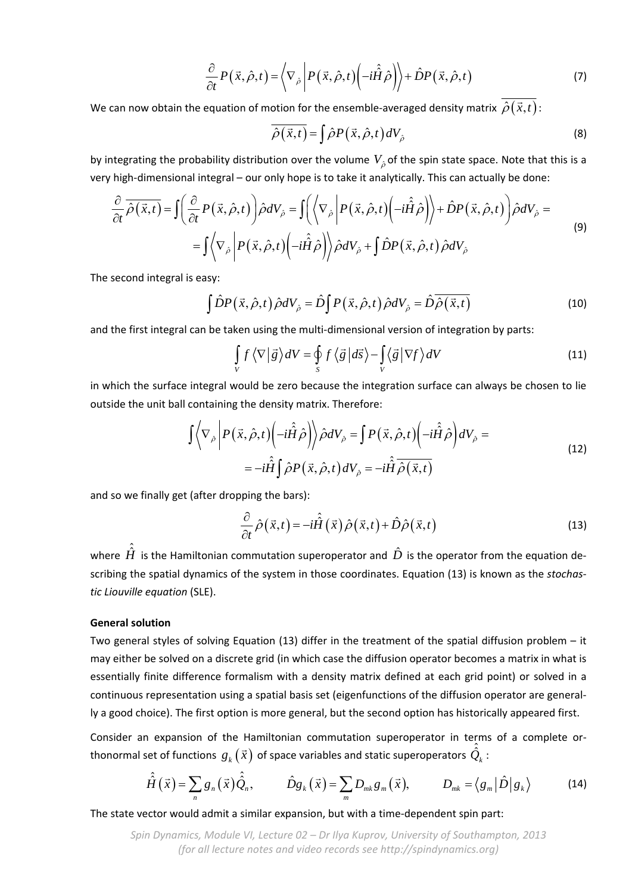$$
\frac{\partial}{\partial t} P(\vec{x}, \hat{\rho}, t) = \left\langle \nabla_{\hat{\rho}} \left| P(\vec{x}, \hat{\rho}, t) \left( -i \hat{H} \hat{\rho} \right) \right\rangle + \hat{D} P(\vec{x}, \hat{\rho}, t) \right\rangle \tag{7}
$$

We can now obtain the equation of motion for the ensemble-averaged density matrix  $\overline{\hat{\rho}(\vec{x},t)}$ :

$$
\overline{\hat{\rho}(\vec{x},t)} = \int \hat{\rho} P(\vec{x},\hat{\rho},t) dV_{\hat{\rho}}
$$
 (8)

by integrating the probability distribution over the volume  $V_{\hat{\rho}}$  of the spin state space. Note that this is a very high-dimensional integral – our only hope is to take it analytically. This can actually be done:

$$
\frac{\partial}{\partial t} \overline{\hat{\rho}(\vec{x},t)} = \int \left( \frac{\partial}{\partial t} P(\vec{x},\hat{\rho},t) \right) \hat{\rho} dV_{\hat{\rho}} = \int \left( \left\langle \nabla_{\hat{\rho}} \left| P(\vec{x},\hat{\rho},t) \left( -i\hat{H}\hat{\rho} \right) \right\rangle + \hat{D}P(\vec{x},\hat{\rho},t) \right) \hat{\rho} dV_{\hat{\rho}} =
$$
\n
$$
= \int \left\langle \nabla_{\hat{\rho}} \left| P(\vec{x},\hat{\rho},t) \left( -i\hat{H}\hat{\rho} \right) \right\rangle \hat{\rho} dV_{\hat{\rho}} + \int \hat{D}P(\vec{x},\hat{\rho},t) \hat{\rho} dV_{\hat{\rho}} \right. \tag{9}
$$

The second integral is easy:

$$
\int \hat{D}P(\vec{x},\hat{\rho},t)\,\hat{\rho}dV_{\hat{\rho}} = \hat{D}\int P(\vec{x},\hat{\rho},t)\,\hat{\rho}dV_{\hat{\rho}} = \hat{D}\overline{\hat{\rho}(\vec{x},t)}
$$
(10)

and the first integral can be taken using the multi-dimensional version of integration by parts:

$$
\int_{V} f \langle \nabla | \vec{g} \rangle dV = \oint_{S} f \langle \vec{g} | d\vec{s} \rangle - \int_{V} \langle \vec{g} | \nabla f \rangle dV
$$
\n(11)

in which the surface integral would be zero because the integration surface can always be chosen to lie outside the unit ball containing the density matrix. Therefore:

$$
\int \left\langle \nabla_{\hat{\rho}} \left| P(\vec{x}, \hat{\rho}, t) \left( -i\hat{\hat{H}} \hat{\rho} \right) \right\rangle \hat{\rho} dV_{\hat{\rho}} = \int P(\vec{x}, \hat{\rho}, t) \left( -i\hat{\hat{H}} \hat{\rho} \right) dV_{\hat{\rho}} =
$$
\n
$$
= -i\hat{\hat{H}} \int \hat{\rho} P(\vec{x}, \hat{\rho}, t) dV_{\hat{\rho}} = -i\hat{\hat{H}} \overline{\hat{\rho}(\vec{x}, t)}
$$
\n(12)

and so we finally get (after dropping the bars):

$$
\frac{\partial}{\partial t}\hat{\rho}\left(\vec{x},t\right) = -i\hat{\hat{H}}\left(\vec{x}\right)\hat{\rho}\left(\vec{x},t\right) + \hat{D}\hat{\rho}\left(\vec{x},t\right)
$$
\n(13)

where  $\hat{\hat{H}}$  is the Hamiltonian commutation superoperator and  $\hat{D}$  is the operator from the equation describing the spatial dynamics of the system in those coordinates. Equation (13) is known as the *stochas‐ tic Liouville equation* (SLE).

## **General solution**

Two general styles of solving Equation (13) differ in the treatment of the spatial diffusion problem – it may either be solved on a discrete grid (in which case the diffusion operator becomes a matrix in what is essentially finite difference formalism with a density matrix defined at each grid point) or solved in a continuous representation using a spatial basis set (eigenfunctions of the diffusion operator are general‐ ly a good choice). The first option is more general, but the second option has historically appeared first.

Consider an expansion of the Hamiltonian commutation superoperator in terms of a complete orthonormal set of functions  $g_k(\vec{x})$  of space variables and static superoperators  $\hat{Q}_k$  :

$$
\hat{\hat{H}}(\vec{x}) = \sum_{n} g_n(\vec{x}) \hat{Q}_n, \qquad \hat{D}g_k(\vec{x}) = \sum_{m} D_{mk} g_m(\vec{x}), \qquad D_{mk} = \langle g_m | \hat{D} | g_k \rangle \qquad (14)
$$

The state vector would admit a similar expansion, but with a time‐dependent spin part: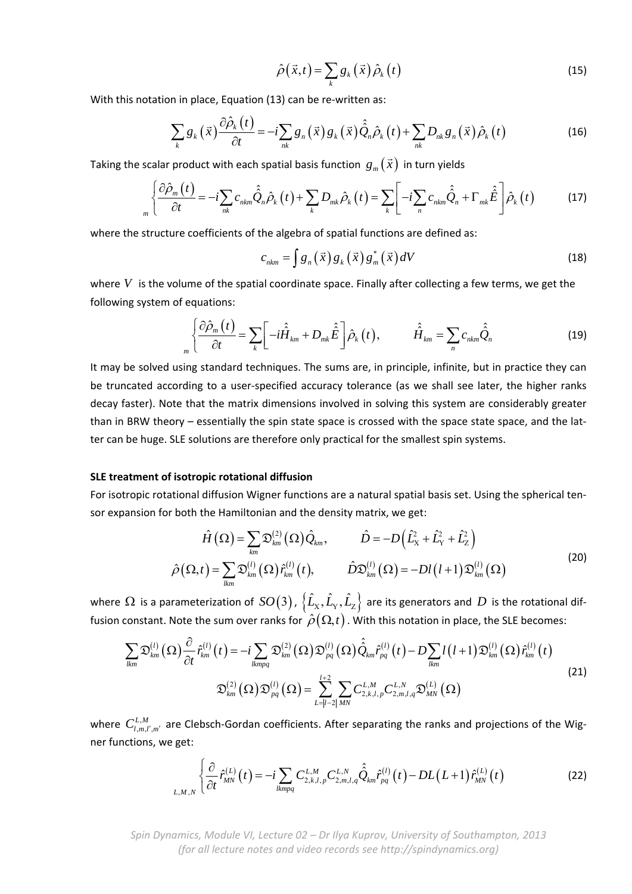$$
\hat{\rho}\left(\vec{x},t\right) = \sum_{k} g_{k}\left(\vec{x}\right) \hat{\rho}_{k}\left(t\right)
$$
\n(15)

With this notation in place, Equation (13) can be re-written as:

$$
\sum_{k} g_{k}(\vec{x}) \frac{\partial \hat{\rho}_{k}(t)}{\partial t} = -i \sum_{nk} g_{n}(\vec{x}) g_{k}(\vec{x}) \hat{\hat{Q}}_{n} \hat{\rho}_{k}(t) + \sum_{nk} D_{nk} g_{n}(\vec{x}) \hat{\rho}_{k}(t)
$$
\n(16)

Taking the scalar product with each spatial basis function  $g_m(\vec{x})$  in turn yields

$$
\int_{m} \left\{ \frac{\partial \hat{\rho}_{m}(t)}{\partial t} = -i \sum_{nk} c_{nkm} \hat{\hat{Q}}_{n} \hat{\rho}_{k}(t) + \sum_{k} D_{mk} \hat{\rho}_{k}(t) = \sum_{k} \left[ -i \sum_{n} c_{nkm} \hat{\hat{Q}}_{n} + \Gamma_{mk} \hat{\hat{E}} \right] \hat{\rho}_{k}(t) \tag{17}
$$

where the structure coefficients of the algebra of spatial functions are defined as:

$$
c_{nkm} = \int g_n\left(\vec{x}\right) g_k\left(\vec{x}\right) g_m^*\left(\vec{x}\right) dV \tag{18}
$$

where V is the volume of the spatial coordinate space. Finally after collecting a few terms, we get the following system of equations:

$$
\hat{\vec{H}}_{km} = \sum_{m} \left[ -i\hat{\vec{H}}_{km} + D_{mk}\hat{\vec{E}} \right] \hat{\rho}_{k}(t), \qquad \hat{\vec{H}}_{km} = \sum_{n} c_{nkm} \hat{\vec{Q}}_{n}
$$
(19)

It may be solved using standard techniques. The sums are, in principle, infinite, but in practice they can be truncated according to a user-specified accuracy tolerance (as we shall see later, the higher ranks decay faster). Note that the matrix dimensions involved in solving this system are considerably greater than in BRW theory – essentially the spin state space is crossed with the space state space, and the lat‐ ter can be huge. SLE solutions are therefore only practical for the smallest spin systems.

## **SLE treatment of isotropic rotational diffusion**

For isotropic rotational diffusion Wigner functions are a natural spatial basis set. Using the spherical ten‐ sor expansion for both the Hamiltonian and the density matrix, we get:

$$
\hat{H}\left(\Omega\right) = \sum_{km} \mathfrak{D}_{km}^{(2)}\left(\Omega\right) \hat{Q}_{km}, \qquad \hat{D} = -D\left(\hat{L}_{X}^{2} + \hat{L}_{Y}^{2} + \hat{L}_{Z}^{2}\right)
$$
\n
$$
\hat{\rho}\left(\Omega, t\right) = \sum_{lm} \mathfrak{D}_{km}^{(l)}\left(\Omega\right) \hat{r}_{km}^{(l)}\left(t\right), \qquad \hat{D}\mathfrak{D}_{km}^{(l)}\left(\Omega\right) = -DI\left(l+1\right) \mathfrak{D}_{km}^{(l)}\left(\Omega\right)
$$
\n(20)

where  $\Omega$  is a parameterization of  $SO(3)$ ,  $\{\hat{L}_x,\hat{L}_y,\hat{L}_z\}$  are its generators and  $D$  is the rotational diffusion constant. Note the sum over ranks for  $\hat{\rho}(\Omega,t)$ . With this notation in place, the SLE becomes:

$$
\sum_{lkm} \mathfrak{D}_{km}^{(l)}(\Omega) \frac{\partial}{\partial t} \hat{r}_{km}^{(l)}(t) = -i \sum_{lkmpq} \mathfrak{D}_{km}^{(2)}(\Omega) \mathfrak{D}_{pq}^{(l)}(\Omega) \hat{Q}_{km} \hat{r}_{pq}^{(l)}(t) - D \sum_{lkm} l(l+1) \mathfrak{D}_{km}^{(l)}(\Omega) \hat{r}_{km}^{(l)}(t)
$$
\n
$$
\mathfrak{D}_{km}^{(2)}(\Omega) \mathfrak{D}_{pq}^{(l)}(\Omega) = \sum_{L=|l-2|}^{l+2} \sum_{MN} C_{2,k,l,p}^{L,M} C_{2,m,l,q}^{L,N} \mathfrak{D}_{MN}^{(L)}(\Omega)
$$
\n(21)

where  $C_{l,m,l',m'}^{L,M}$  are Clebsch-Gordan coefficients. After separating the ranks and projections of the Wigner functions, we get:

$$
\sum_{L,M,N} \left\{ \frac{\partial}{\partial t} \hat{r}_{MN}^{(L)}(t) = -i \sum_{lkmpq} C_{2,k,l,p}^{L,M} C_{2,m,l,q}^{L,N} \hat{Q}_{km} \hat{r}_{pq}^{(l)}(t) - DL(L+1) \hat{r}_{MN}^{(L)}(t) \right\}
$$
(22)

*Spin Dynamics, Module VI, Lecture 02 – Dr Ilya Kuprov, University of Southampton, 2013 (for all lecture notes and video records see http://spindynamics.org)*